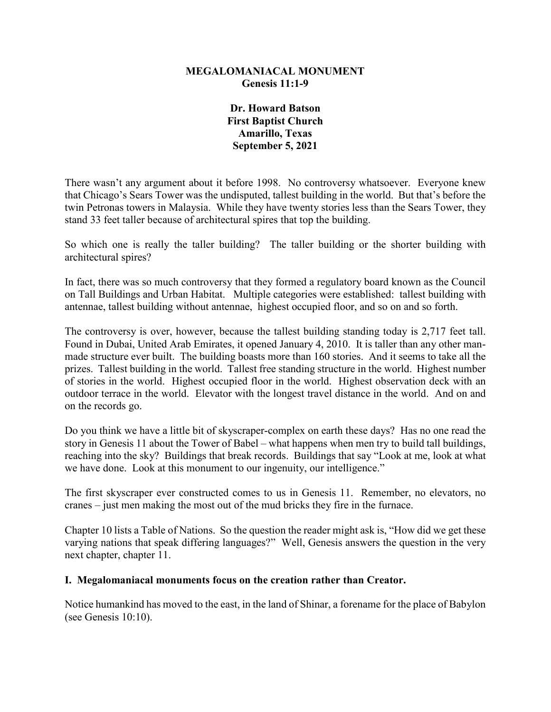## **MEGALOMANIACAL MONUMENT Genesis 11:1-9**

**Dr. Howard Batson First Baptist Church Amarillo, Texas September 5, 2021**

There wasn't any argument about it before 1998. No controversy whatsoever. Everyone knew that Chicago's Sears Tower was the undisputed, tallest building in the world. But that's before the twin Petronas towers in Malaysia. While they have twenty stories less than the Sears Tower, they stand 33 feet taller because of architectural spires that top the building.

So which one is really the taller building? The taller building or the shorter building with architectural spires?

In fact, there was so much controversy that they formed a regulatory board known as the Council on Tall Buildings and Urban Habitat. Multiple categories were established: tallest building with antennae, tallest building without antennae, highest occupied floor, and so on and so forth.

The controversy is over, however, because the tallest building standing today is 2,717 feet tall. Found in Dubai, United Arab Emirates, it opened January 4, 2010. It is taller than any other manmade structure ever built. The building boasts more than 160 stories. And it seems to take all the prizes. Tallest building in the world. Tallest free standing structure in the world. Highest number of stories in the world. Highest occupied floor in the world. Highest observation deck with an outdoor terrace in the world. Elevator with the longest travel distance in the world. And on and on the records go.

Do you think we have a little bit of skyscraper-complex on earth these days? Has no one read the story in Genesis 11 about the Tower of Babel – what happens when men try to build tall buildings, reaching into the sky? Buildings that break records. Buildings that say "Look at me, look at what we have done. Look at this monument to our ingenuity, our intelligence."

The first skyscraper ever constructed comes to us in Genesis 11. Remember, no elevators, no cranes – just men making the most out of the mud bricks they fire in the furnace.

Chapter 10 lists a Table of Nations. So the question the reader might ask is, "How did we get these varying nations that speak differing languages?" Well, Genesis answers the question in the very next chapter, chapter 11.

## **I. Megalomaniacal monuments focus on the creation rather than Creator.**

Notice humankind has moved to the east, in the land of Shinar, a forename for the place of Babylon (see Genesis 10:10).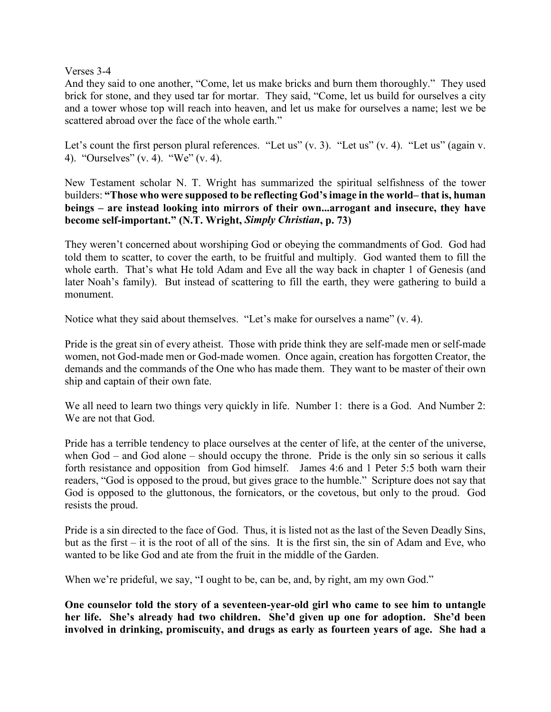Verses 3-4

And they said to one another, "Come, let us make bricks and burn them thoroughly." They used brick for stone, and they used tar for mortar. They said, "Come, let us build for ourselves a city and a tower whose top will reach into heaven, and let us make for ourselves a name; lest we be scattered abroad over the face of the whole earth."

Let's count the first person plural references. "Let us" (v. 3). "Let us" (v. 4). "Let us" (again v. 4). "Ourselves" (v. 4). "We" (v. 4).

New Testament scholar N. T. Wright has summarized the spiritual selfishness of the tower builders: **"Those who were supposed to be reflecting God's image in the world– that is, human beings – are instead looking into mirrors of their own...arrogant and insecure, they have become self-important." (N.T. Wright,** *Simply Christian***, p. 73)**

They weren't concerned about worshiping God or obeying the commandments of God. God had told them to scatter, to cover the earth, to be fruitful and multiply. God wanted them to fill the whole earth. That's what He told Adam and Eve all the way back in chapter 1 of Genesis (and later Noah's family). But instead of scattering to fill the earth, they were gathering to build a monument.

Notice what they said about themselves. "Let's make for ourselves a name" (v. 4).

Pride is the great sin of every atheist. Those with pride think they are self-made men or self-made women, not God-made men or God-made women. Once again, creation has forgotten Creator, the demands and the commands of the One who has made them. They want to be master of their own ship and captain of their own fate.

We all need to learn two things very quickly in life. Number 1: there is a God. And Number 2: We are not that God.

Pride has a terrible tendency to place ourselves at the center of life, at the center of the universe, when God – and God alone – should occupy the throne. Pride is the only sin so serious it calls forth resistance and opposition from God himself. James 4:6 and 1 Peter 5:5 both warn their readers, "God is opposed to the proud, but gives grace to the humble." Scripture does not say that God is opposed to the gluttonous, the fornicators, or the covetous, but only to the proud. God resists the proud.

Pride is a sin directed to the face of God. Thus, it is listed not as the last of the Seven Deadly Sins, but as the first – it is the root of all of the sins. It is the first sin, the sin of Adam and Eve, who wanted to be like God and ate from the fruit in the middle of the Garden.

When we're prideful, we say, "I ought to be, can be, and, by right, am my own God."

**One counselor told the story of a seventeen-year-old girl who came to see him to untangle her life. She's already had two children. She'd given up one for adoption. She'd been involved in drinking, promiscuity, and drugs as early as fourteen years of age. She had a**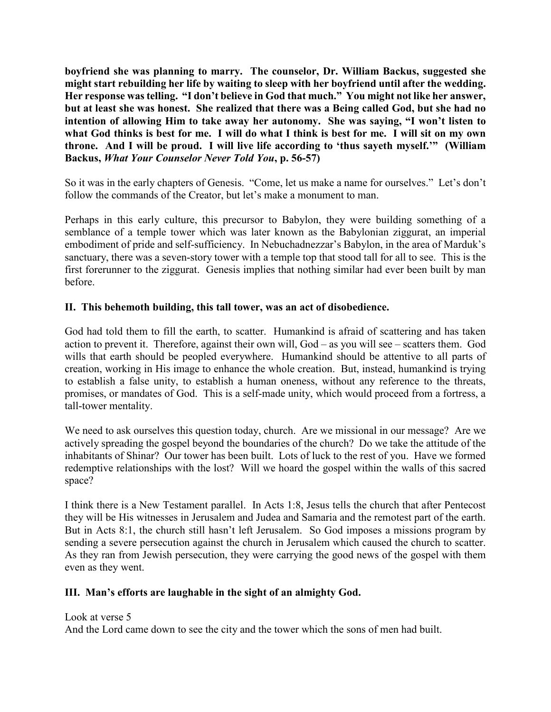**boyfriend she was planning to marry. The counselor, Dr. William Backus, suggested she might start rebuilding her life by waiting to sleep with her boyfriend until after the wedding. Her response was telling. "I don't believe in God that much." You might not like her answer, but at least she was honest. She realized that there was a Being called God, but she had no intention of allowing Him to take away her autonomy. She was saying, "I won't listen to what God thinks is best for me. I will do what I think is best for me. I will sit on my own throne. And I will be proud. I will live life according to 'thus sayeth myself.'" (William Backus,** *What Your Counselor Never Told You***, p. 56-57)**

So it was in the early chapters of Genesis. "Come, let us make a name for ourselves." Let's don't follow the commands of the Creator, but let's make a monument to man.

Perhaps in this early culture, this precursor to Babylon, they were building something of a semblance of a temple tower which was later known as the Babylonian ziggurat, an imperial embodiment of pride and self-sufficiency. In Nebuchadnezzar's Babylon, in the area of Marduk's sanctuary, there was a seven-story tower with a temple top that stood tall for all to see. This is the first forerunner to the ziggurat. Genesis implies that nothing similar had ever been built by man before.

## **II. This behemoth building, this tall tower, was an act of disobedience.**

God had told them to fill the earth, to scatter. Humankind is afraid of scattering and has taken action to prevent it. Therefore, against their own will, God – as you will see – scatters them. God wills that earth should be peopled everywhere. Humankind should be attentive to all parts of creation, working in His image to enhance the whole creation. But, instead, humankind is trying to establish a false unity, to establish a human oneness, without any reference to the threats, promises, or mandates of God. This is a self-made unity, which would proceed from a fortress, a tall-tower mentality.

We need to ask ourselves this question today, church. Are we missional in our message? Are we actively spreading the gospel beyond the boundaries of the church? Do we take the attitude of the inhabitants of Shinar? Our tower has been built. Lots of luck to the rest of you. Have we formed redemptive relationships with the lost? Will we hoard the gospel within the walls of this sacred space?

I think there is a New Testament parallel. In Acts 1:8, Jesus tells the church that after Pentecost they will be His witnesses in Jerusalem and Judea and Samaria and the remotest part of the earth. But in Acts 8:1, the church still hasn't left Jerusalem. So God imposes a missions program by sending a severe persecution against the church in Jerusalem which caused the church to scatter. As they ran from Jewish persecution, they were carrying the good news of the gospel with them even as they went.

## **III. Man's efforts are laughable in the sight of an almighty God.**

Look at verse 5

And the Lord came down to see the city and the tower which the sons of men had built.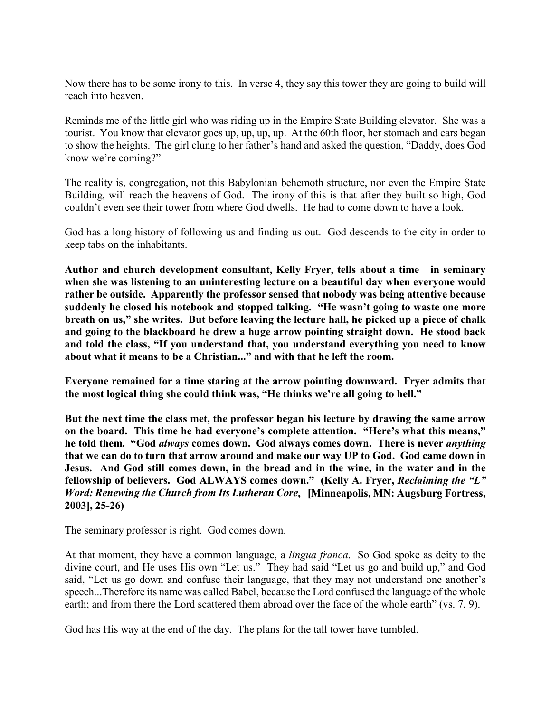Now there has to be some irony to this. In verse 4, they say this tower they are going to build will reach into heaven.

Reminds me of the little girl who was riding up in the Empire State Building elevator. She was a tourist. You know that elevator goes up, up, up, up. At the 60th floor, her stomach and ears began to show the heights. The girl clung to her father's hand and asked the question, "Daddy, does God know we're coming?"

The reality is, congregation, not this Babylonian behemoth structure, nor even the Empire State Building, will reach the heavens of God. The irony of this is that after they built so high, God couldn't even see their tower from where God dwells. He had to come down to have a look.

God has a long history of following us and finding us out. God descends to the city in order to keep tabs on the inhabitants.

**Author and church development consultant, Kelly Fryer, tells about a time in seminary when she was listening to an uninteresting lecture on a beautiful day when everyone would rather be outside. Apparently the professor sensed that nobody was being attentive because suddenly he closed his notebook and stopped talking. "He wasn't going to waste one more breath on us," she writes. But before leaving the lecture hall, he picked up a piece of chalk and going to the blackboard he drew a huge arrow pointing straight down. He stood back and told the class, "If you understand that, you understand everything you need to know about what it means to be a Christian..." and with that he left the room.**

**Everyone remained for a time staring at the arrow pointing downward. Fryer admits that the most logical thing she could think was, "He thinks we're all going to hell."**

**But the next time the class met, the professor began his lecture by drawing the same arrow on the board. This time he had everyone's complete attention. "Here's what this means," he told them. "God** *always* **comes down. God always comes down. There is never** *anything* **that we can do to turn that arrow around and make our way UP to God. God came down in Jesus. And God still comes down, in the bread and in the wine, in the water and in the fellowship of believers. God ALWAYS comes down." (Kelly A. Fryer,** *Reclaiming the "L" Word: Renewing the Church from Its Lutheran Core***, [Minneapolis, MN: Augsburg Fortress, 2003], 25-26)**

The seminary professor is right. God comes down.

At that moment, they have a common language, a *lingua franca*. So God spoke as deity to the divine court, and He uses His own "Let us." They had said "Let us go and build up," and God said, "Let us go down and confuse their language, that they may not understand one another's speech...Therefore its name was called Babel, because the Lord confused the language of the whole earth; and from there the Lord scattered them abroad over the face of the whole earth" (vs. 7, 9).

God has His way at the end of the day. The plans for the tall tower have tumbled.